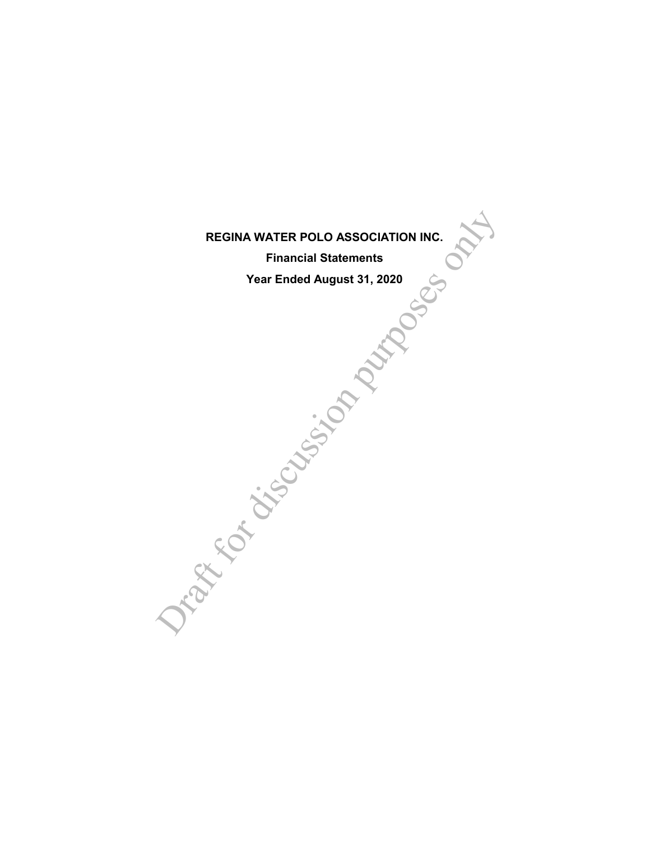# **REGINA WATER POLO ASSOCIATION INC.**

**Financial Statements**

**Year Ended August 31, 2020**

REGINA WATER POLO ASSOCIATION INC.<br>Financial Statements<br>Year Ended August 31, 2020<br>Control of the Control of the Control of the Control of Control of Control of Control of Control of Control of Control of Control of Contro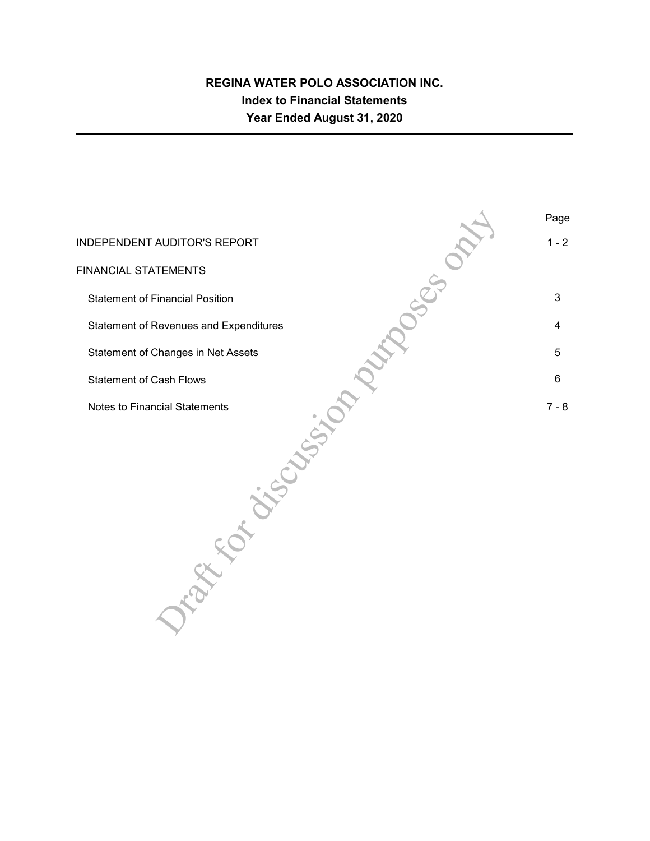## **REGINA WATER POLO ASSOCIATION INC. Index to Financial Statements Year Ended August 31, 2020**

AUDITOR'S REPORT<br>TEMENTS<br>Cinancial Position<br>Revenues and Expenditures<br>Changes in Net Assets<br>Cial Statements<br>Cial Statements<br>Cial Statements Page INDEPENDENT AUDITOR'S REPORT AND ALL AND A REPORT AND A REPORT AND A REPORT AND A REPORT OF A REPORT OF A REPORT FINANCIAL STATEMENTS Statement of Financial Position 3 Statement of Revenues and Expenditures 4 and  $\sim$  4 and 4 and 4 and 4 and 4 and 4 and 4 and 4 and 4 and 4 and 4 and 4 and 4 and 4 and 4 and 4 and 4 and 4 and 4 and 4 and 4 and 4 and 4 and 4 and 4 and 4 and 4 and 4 and 4 an Statement of Changes in Net Assets 5 and 3 and 3 and 3 and 3 and 3 and 3 and 3 and 3 and 3 and 3 and 3 and 3 and 3 and 3 and 3 and 3 and 3 and 3 and 3 and 3 and 3 and 3 and 3 and 3 and 3 and 3 and 3 and 3 and 3 and 3 and 3 Statement of Cash Flows 6 Notes to Financial Statements 7 - 8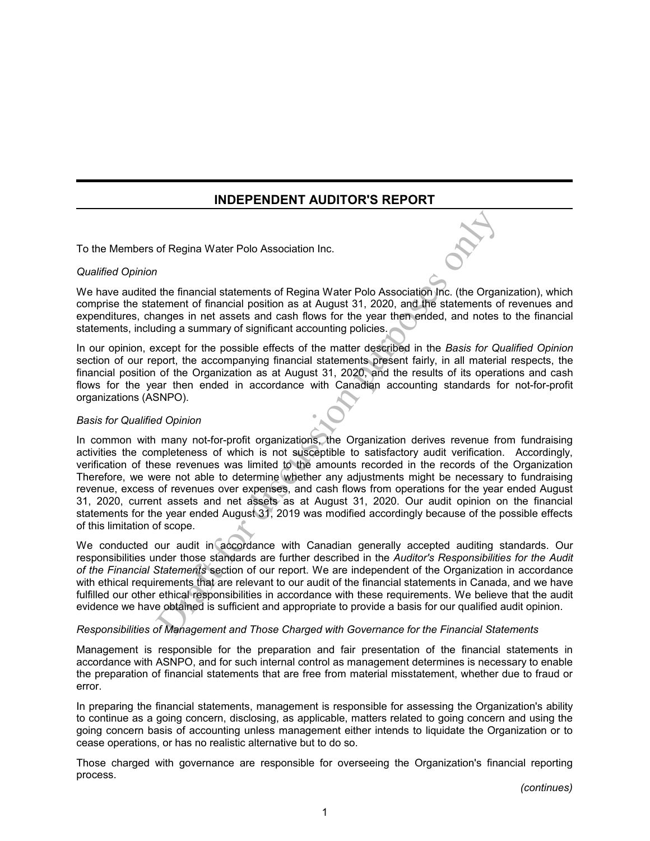## **INDEPENDENT AUDITOR'S REPORT**

To the Members of Regina Water Polo Association Inc.

#### *Qualified Opinion*

We have audited the financial statements of Regina Water Polo Association Inc. (the Organization), which comprise the statement of financial position as at August 31, 2020, and the statements of revenues and expenditures, changes in net assets and cash flows for the year then ended, and notes to the financial statements, including a summary of significant accounting policies.

In our opinion, except for the possible effects of the matter described in the *Basis for Qualified Opinion* section of our report, the accompanying financial statements present fairly, in all material respects, the financial position of the Organization as at August 31, 2020, and the results of its operations and cash flows for the year then ended in accordance with Canadian accounting standards for not-for-profit organizations (ASNPO).

#### *Basis for Qualified Opinion*

of Regina Water Polo Association Inc.<br>
The financial statements of Regina Water Polo Association Inc. (the Organ<br>
tement of financial position as at August 31, 2020, and the statements of<br>
anges in net assets and cash flow In common with many not-for-profit organizations, the Organization derives revenue from fundraising activities the completeness of which is not susceptible to satisfactory audit verification. Accordingly, verification of these revenues was limited to the amounts recorded in the records of the Organization Therefore, we were not able to determine whether any adjustments might be necessary to fundraising revenue, excess of revenues over expenses, and cash flows from operations for the year ended August 31, 2020, current assets and net assets as at August 31, 2020. Our audit opinion on the financial statements for the year ended August 31, 2019 was modified accordingly because of the possible effects of this limitation of scope.

We conducted our audit in accordance with Canadian generally accepted auditing standards. Our responsibilities under those standards are further described in the *Auditor's Responsibilities for the Audit of the Financial Statements* section of our report. We are independent of the Organization in accordance with ethical requirements that are relevant to our audit of the financial statements in Canada, and we have fulfilled our other ethical responsibilities in accordance with these requirements. We believe that the audit evidence we have obtained is sufficient and appropriate to provide a basis for our qualified audit opinion.

#### *Responsibilities of Management and Those Charged with Governance for the Financial Statements*

Management is responsible for the preparation and fair presentation of the financial statements in accordance with ASNPO, and for such internal control as management determines is necessary to enable the preparation of financial statements that are free from material misstatement, whether due to fraud or error.

In preparing the financial statements, management is responsible for assessing the Organization's ability to continue as a going concern, disclosing, as applicable, matters related to going concern and using the going concern basis of accounting unless management either intends to liquidate the Organization or to cease operations, or has no realistic alternative but to do so.

Those charged with governance are responsible for overseeing the Organization's financial reporting process.

*(continues)*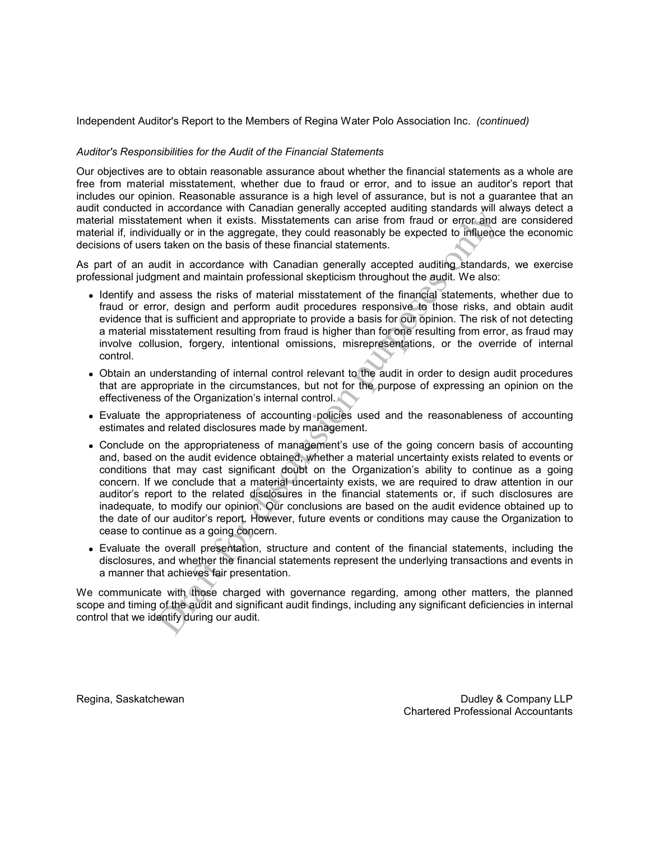Independent Auditor's Report to the Members of Regina Water Polo Association Inc. *(continued)*

#### *Auditor's Responsibilities for the Audit of the Financial Statements*

Our objectives are to obtain reasonable assurance about whether the financial statements as a whole are free from material misstatement, whether due to fraud or error, and to issue an auditor's report that includes our opinion. Reasonable assurance is a high level of assurance, but is not a guarantee that an audit conducted in accordance with Canadian generally accepted auditing standards will always detect a material misstatement when it exists. Misstatements can arise from fraud or error and are considered material if, individually or in the aggregate, they could reasonably be expected to influence the economic decisions of users taken on the basis of these financial statements.

As part of an audit in accordance with Canadian generally accepted auditing standards, we exercise professional judgment and maintain professional skepticism throughout the audit. We also:

- Identify and assess the risks of material misstatement of the financial statements, whether due to fraud or error, design and perform audit procedures responsive to those risks, and obtain audit evidence that is sufficient and appropriate to provide a basis for our opinion. The risk of not detecting a material misstatement resulting from fraud is higher than for one resulting from error, as fraud may involve collusion, forgery, intentional omissions, misrepresentations, or the override of internal control.
- Obtain an understanding of internal control relevant to the audit in order to design audit procedures that are appropriate in the circumstances, but not for the purpose of expressing an opinion on the effectiveness of the Organization's internal control.
- Evaluate the appropriateness of accounting policies used and the reasonableness of accounting estimates and related disclosures made by management.
- meant when it exists. Misstatements can arise from fraud or error and simulative or interests. Misstatements can arise from fraud or error and at tallauly or in the aggregate, they could reasonably be expected to influence Conclude on the appropriateness of management's use of the going concern basis of accounting and, based on the audit evidence obtained, whether a material uncertainty exists related to events or conditions that may cast significant doubt on the Organization's ability to continue as a going concern. If we conclude that a material uncertainty exists, we are required to draw attention in our auditor's report to the related disclosures in the financial statements or, if such disclosures are inadequate, to modify our opinion. Our conclusions are based on the audit evidence obtained up to the date of our auditor's report. However, future events or conditions may cause the Organization to cease to continue as a going concern.
- Evaluate the overall presentation, structure and content of the financial statements, including the disclosures, and whether the financial statements represent the underlying transactions and events in a manner that achieves fair presentation.

We communicate with those charged with governance regarding, among other matters, the planned scope and timing of the audit and significant audit findings, including any significant deficiencies in internal control that we identify during our audit.

Regina, Saskatchewan **Dudley & Company LLP** Chartered Professional Accountants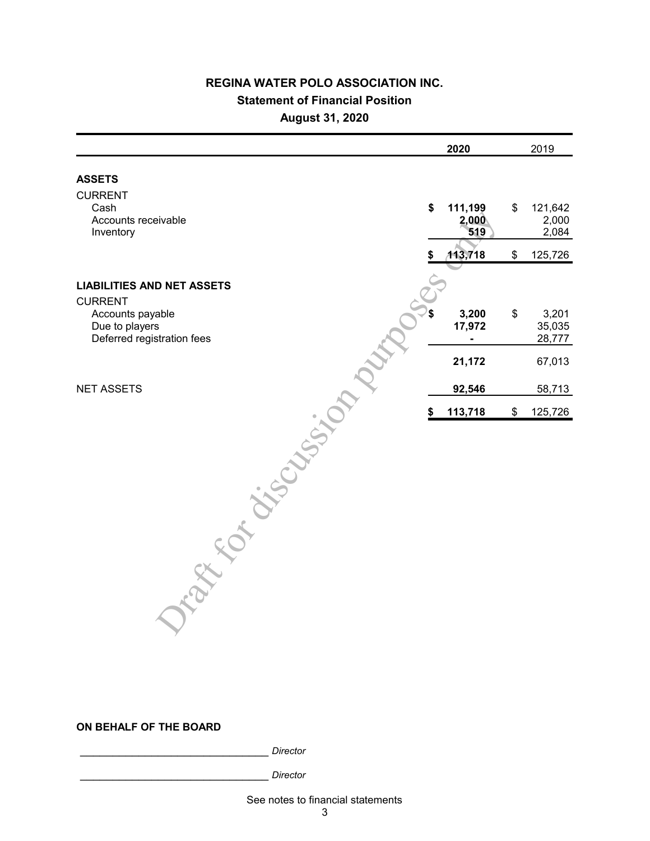## **REGINA WATER POLO ASSOCIATION INC. Statement of Financial Position August 31, 2020**

| 2020                          | 2019                            |
|-------------------------------|---------------------------------|
|                               |                                 |
| \$<br>111,199<br>2,000<br>519 | \$<br>121,642<br>2,000<br>2,084 |
| 113,718                       | \$<br>125,726                   |
|                               |                                 |
| 3,200<br>17,972               | \$<br>3,201<br>35,035<br>28,777 |
| 21,172                        | 67,013                          |
| 92,546                        | 58,713                          |
| 113,718                       | \$<br>125,726                   |
|                               |                                 |
|                               |                                 |

### **ON BEHALF OF THE BOARD**

\_\_\_\_\_\_\_\_\_\_\_\_\_\_\_\_\_\_\_\_\_\_\_\_\_\_\_\_\_ *Director* 

\_\_\_\_\_\_\_\_\_\_\_\_\_\_\_\_\_\_\_\_\_\_\_\_\_\_\_\_\_ *Director* 

See notes to financial statements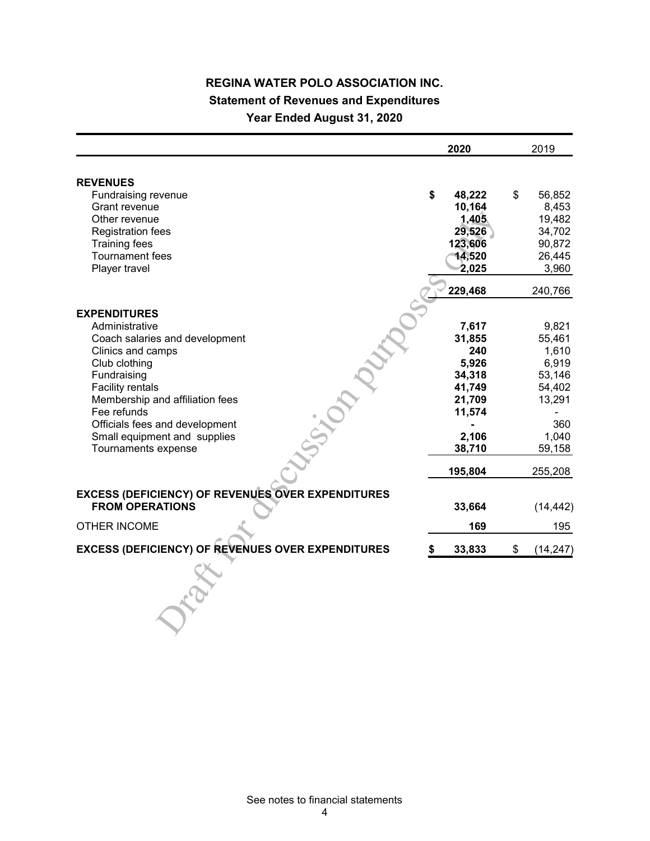## **REGINA WATER POLO ASSOCIATION INC. Statement of Revenues and Expenditures Year Ended August 31, 2020**

|                                                          | 2020         | 2019            |
|----------------------------------------------------------|--------------|-----------------|
|                                                          |              |                 |
| <b>REVENUES</b>                                          |              |                 |
| Fundraising revenue                                      | \$<br>48,222 | \$<br>56,852    |
| Grant revenue                                            | 10,164       | 8,453           |
| Other revenue                                            | 1,405        | 19,482          |
| <b>Registration fees</b>                                 | 29,526       | 34,702          |
| <b>Training fees</b>                                     | 123,606      | 90,872          |
| <b>Tournament fees</b>                                   | 14,520       | 26,445          |
| Player travel                                            | 2,025        | 3,960           |
|                                                          | 229,468      | 240,766         |
| <b>EXPENDITURES</b>                                      |              |                 |
| Administrative                                           | 7,617        | 9,821           |
| Coach salaries and development                           | 31,855       | 55,461          |
| Clinics and camps                                        | 240          | 1,610           |
| Club clothing                                            | 5,926        | 6,919           |
| Fundraising                                              | 34,318       | 53,146          |
| Facility rentals                                         | 41,749       | 54,402          |
| Membership and affiliation fees                          | 21,709       | 13,291          |
| Fee refunds                                              | 11,574       |                 |
| Officials fees and development                           |              | 360             |
| Small equipment and supplies                             | 2,106        | 1,040           |
| Tournaments expense                                      | 38,710       | 59,158          |
|                                                          | 195,804      | 255,208         |
| <b>EXCESS (DEFICIENCY) OF REVENUES OVER EXPENDITURES</b> |              |                 |
| <b>FROM OPERATIONS</b>                                   | 33,664       | (14, 442)       |
| <b>OTHER INCOME</b>                                      | 169          | 195             |
| <b>EXCESS (DEFICIENCY) OF REVENUES OVER EXPENDITURES</b> | 33,833       | \$<br>(14, 247) |
|                                                          |              |                 |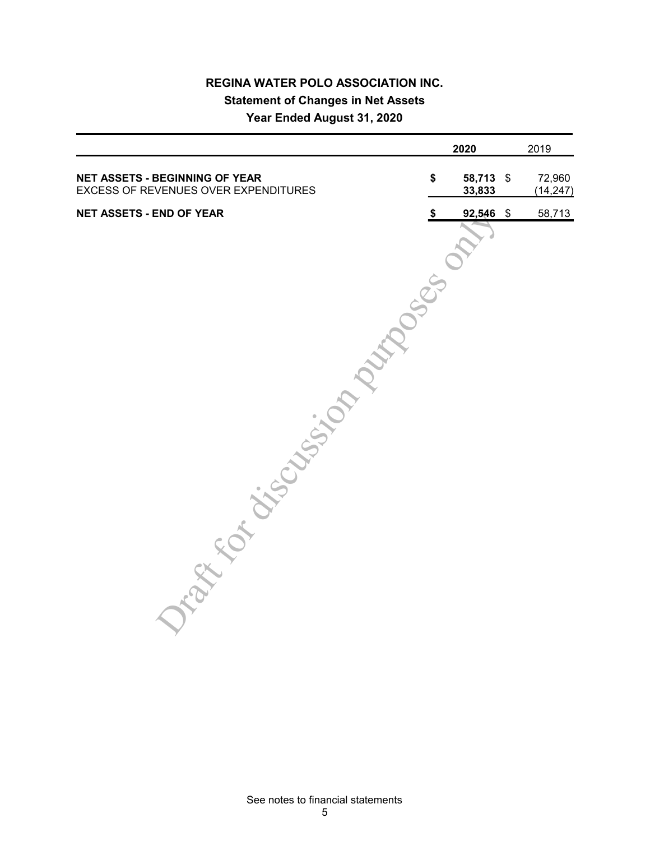## **REGINA WATER POLO ASSOCIATION INC. Statement of Changes in Net Assets Year Ended August 31, 2020**

|                                                                               | 2020                      | 2019                                 |
|-------------------------------------------------------------------------------|---------------------------|--------------------------------------|
| <b>NET ASSETS - BEGINNING OF YEAR</b><br>EXCESS OF REVENUES OVER EXPENDITURES | 58,713 \$<br>\$<br>33,833 | 72,960<br>(14, 247)                  |
| <b>NET ASSETS - END OF YEAR</b>                                               | \$<br>92,546              | $\boldsymbol{\mathsf{\$}}$<br>58,713 |
| Tap of Cristines of Maritime of                                               |                           |                                      |
|                                                                               |                           |                                      |
|                                                                               |                           |                                      |
|                                                                               |                           |                                      |
|                                                                               |                           |                                      |
|                                                                               |                           |                                      |
|                                                                               |                           |                                      |
|                                                                               |                           |                                      |
|                                                                               |                           |                                      |
|                                                                               |                           |                                      |
|                                                                               |                           |                                      |
|                                                                               |                           |                                      |
|                                                                               |                           |                                      |
|                                                                               |                           |                                      |
|                                                                               |                           |                                      |
|                                                                               |                           |                                      |
|                                                                               |                           |                                      |
|                                                                               |                           |                                      |
|                                                                               |                           |                                      |
|                                                                               |                           |                                      |
|                                                                               |                           |                                      |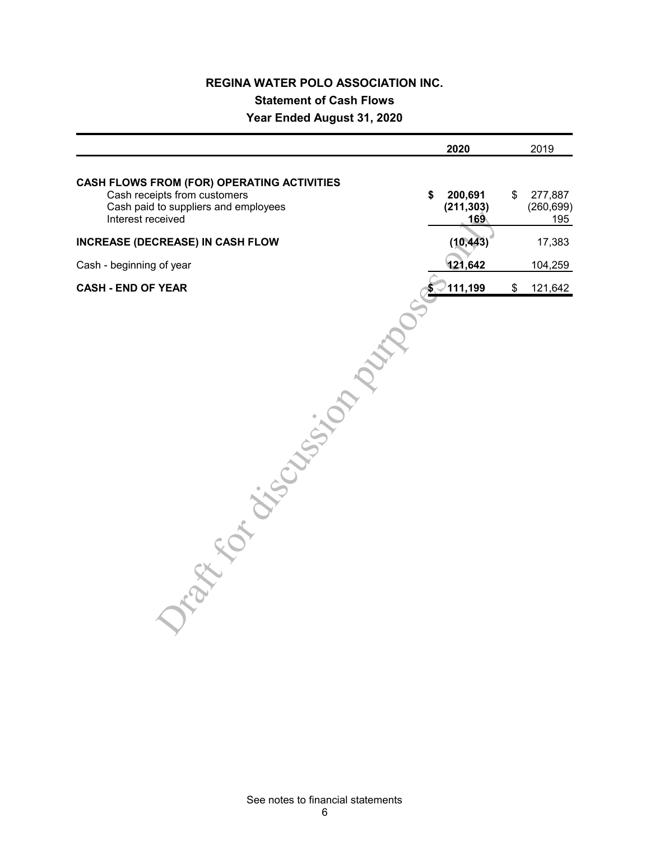## **REGINA WATER POLO ASSOCIATION INC. Statement of Cash Flows Year Ended August 31, 2020**

|                                                                                                                                                | 2020                               | 2019                               |
|------------------------------------------------------------------------------------------------------------------------------------------------|------------------------------------|------------------------------------|
| <b>CASH FLOWS FROM (FOR) OPERATING ACTIVITIES</b><br>Cash receipts from customers<br>Cash paid to suppliers and employees<br>Interest received | 200,691<br>\$<br>(211, 303)<br>169 | \$<br>277,887<br>(260, 699)<br>195 |
| INCREASE (DECREASE) IN CASH FLOW                                                                                                               | (10, 443)                          | 17,383                             |
| Cash - beginning of year                                                                                                                       | 121,642                            | 104,259                            |
| <b>CASH - END OF YEAR</b>                                                                                                                      | 111,199                            | \$<br>121,642                      |
| rapped of the control of the                                                                                                                   |                                    |                                    |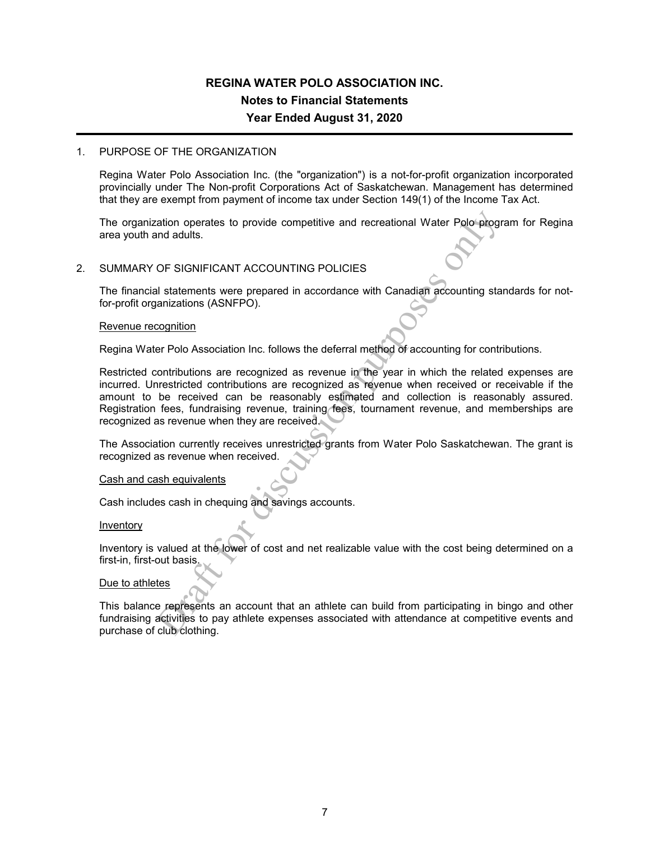## **REGINA WATER POLO ASSOCIATION INC. Notes to Financial Statements Year Ended August 31, 2020**

#### 1. PURPOSE OF THE ORGANIZATION

Regina Water Polo Association Inc. (the "organization") is a not-for-profit organization incorporated provincially under The Non-profit Corporations Act of Saskatchewan. Management has determined that they are exempt from payment of income tax under Section 149(1) of the Income Tax Act.

The organization operates to provide competitive and recreational Water Polo program for Regina area youth and adults.

#### 2. SUMMARY OF SIGNIFICANT ACCOUNTING POLICIES

The financial statements were prepared in accordance with Canadian accounting standards for notfor-profit organizations (ASNFPO).

#### Revenue recognition

Regina Water Polo Association Inc. follows the deferral method of accounting for contributions.

ration operates to provide competitive and recreational Water Polo-program<br>
adults.<br>
OF SIGNIFICANT ACCOUNTING POLICIES<br>
all statements were prepared in accordance with Canadian accounting statements<br>
all statements were p Restricted contributions are recognized as revenue in the year in which the related expenses are incurred. Unrestricted contributions are recognized as revenue when received or receivable if the amount to be received can be reasonably estimated and collection is reasonably assured. Registration fees, fundraising revenue, training fees, tournament revenue, and memberships are recognized as revenue when they are received.

The Association currently receives unrestricted grants from Water Polo Saskatchewan. The grant is recognized as revenue when received.

#### Cash and cash equivalents

Cash includes cash in chequing and savings accounts.

#### Inventory

Inventory is valued at the lower of cost and net realizable value with the cost being determined on a first-in, first-out basis.

#### Due to athletes

This balance represents an account that an athlete can build from participating in bingo and other fundraising activities to pay athlete expenses associated with attendance at competitive events and purchase of club clothing.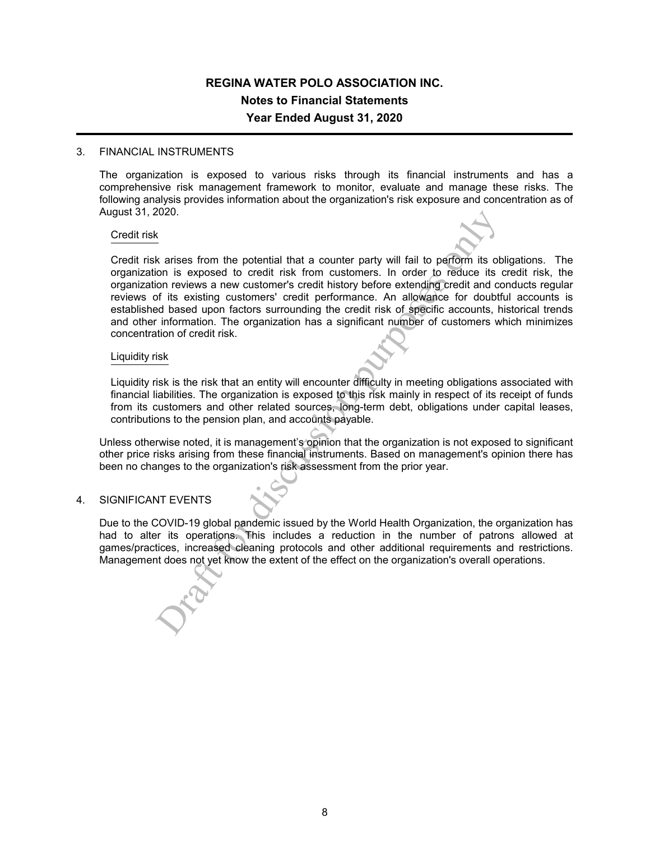## **REGINA WATER POLO ASSOCIATION INC. Notes to Financial Statements Year Ended August 31, 2020**

#### 3. FINANCIAL INSTRUMENTS

The organization is exposed to various risks through its financial instruments and has a comprehensive risk management framework to monitor, evaluate and manage these risks. The following analysis provides information about the organization's risk exposure and concentration as of August 31, 2020.

#### Credit risk

2020.<br>
Section the potential that a counter party will fail to perform its obtom is exposed to credit risk from customers. In order to reduce its of the restricted by fits existing customers' credit history before extendin Credit risk arises from the potential that a counter party will fail to perform its obligations. The organization is exposed to credit risk from customers. In order to reduce its credit risk, the organization reviews a new customer's credit history before extending credit and conducts regular reviews of its existing customers' credit performance. An allowance for doubtful accounts is established based upon factors surrounding the credit risk of specific accounts, historical trends and other information. The organization has a significant number of customers which minimizes concentration of credit risk.

#### Liquidity risk

Liquidity risk is the risk that an entity will encounter difficulty in meeting obligations associated with financial liabilities. The organization is exposed to this risk mainly in respect of its receipt of funds from its customers and other related sources, long-term debt, obligations under capital leases, contributions to the pension plan, and accounts payable.

Unless otherwise noted, it is management's opinion that the organization is not exposed to significant other price risks arising from these financial instruments. Based on management's opinion there has been no changes to the organization's risk assessment from the prior year.

#### 4. SIGNIFICANT EVENTS

Due to the COVID-19 global pandemic issued by the World Health Organization, the organization has had to alter its operations. This includes a reduction in the number of patrons allowed at games/practices, increased cleaning protocols and other additional requirements and restrictions. Management does not yet know the extent of the effect on the organization's overall operations.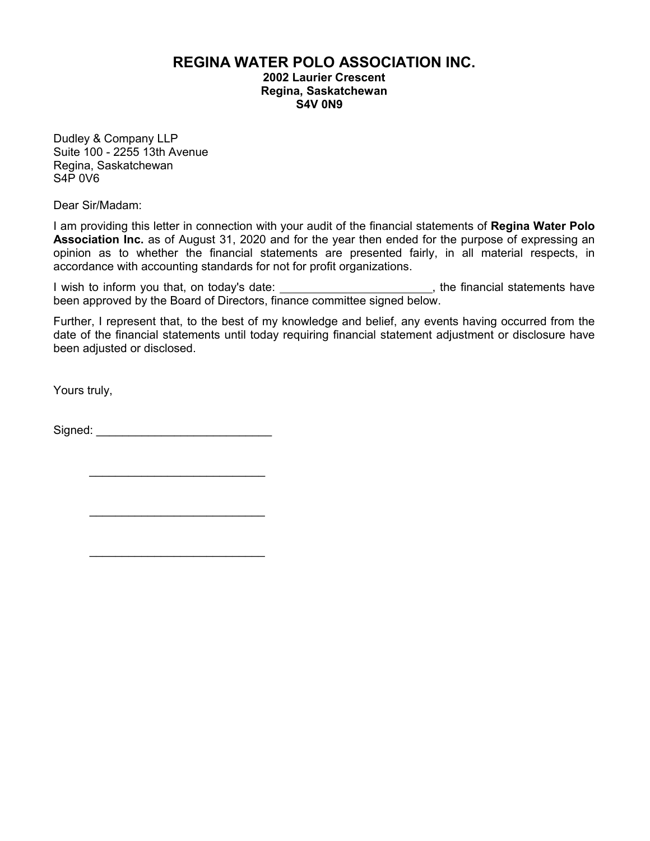## **REGINA WATER POLO ASSOCIATION INC.**

**2002 Laurier Crescent Regina, Saskatchewan S4V 0N9**

Dudley & Company LLP Suite 100 - 2255 13th Avenue Regina, Saskatchewan S4P 0V6

Dear Sir/Madam:

I am providing this letter in connection with your audit of the financial statements of **Regina Water Polo Association Inc.** as of August 31, 2020 and for the year then ended for the purpose of expressing an opinion as to whether the financial statements are presented fairly, in all material respects, in accordance with accounting standards for not for profit organizations.

I wish to inform you that, on today's date: \_\_\_\_\_\_\_\_\_\_\_\_\_\_\_\_\_\_\_\_\_\_\_\_\_\_\_, the financial statements have been approved by the Board of Directors, finance committee signed below.

Further, I represent that, to the best of my knowledge and belief, any events having occurred from the date of the financial statements until today requiring financial statement adjustment or disclosure have been adjusted or disclosed.

Yours truly,

Signed: \_\_\_\_\_\_\_\_\_\_\_\_\_\_\_\_\_\_\_\_\_\_\_\_\_\_\_

\_\_\_\_\_\_\_\_\_\_\_\_\_\_\_\_\_\_\_\_\_\_\_\_\_\_\_

 $\mathcal{L}_\text{max}$  , where  $\mathcal{L}_\text{max}$  , we have the set of  $\mathcal{L}_\text{max}$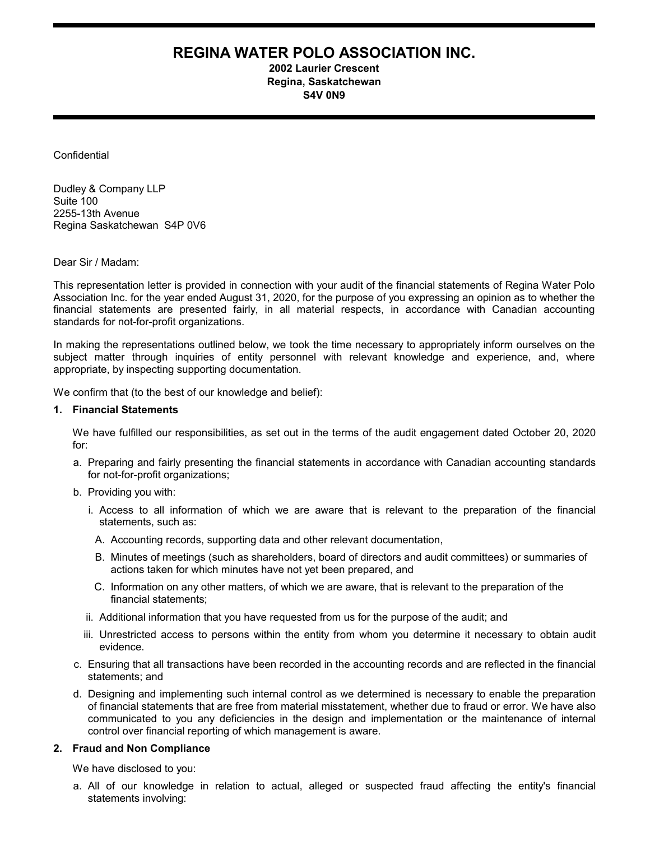## **REGINA WATER POLO ASSOCIATION INC.**

**2002 Laurier Crescent Regina, Saskatchewan S4V 0N9**

**Confidential** 

Dudley & Company LLP Suite 100 2255-13th Avenue Regina Saskatchewan S4P 0V6

Dear Sir / Madam:

This representation letter is provided in connection with your audit of the financial statements of Regina Water Polo Association Inc. for the year ended August 31, 2020, for the purpose of you expressing an opinion as to whether the financial statements are presented fairly, in all material respects, in accordance with Canadian accounting standards for not-for-profit organizations.

In making the representations outlined below, we took the time necessary to appropriately inform ourselves on the subject matter through inquiries of entity personnel with relevant knowledge and experience, and, where appropriate, by inspecting supporting documentation.

We confirm that (to the best of our knowledge and belief):

#### **1. Financial Statements**

We have fulfilled our responsibilities, as set out in the terms of the audit engagement dated October 20, 2020 for:

- a. Preparing and fairly presenting the financial statements in accordance with Canadian accounting standards for not-for-profit organizations;
- b. Providing you with:
	- i. Access to all information of which we are aware that is relevant to the preparation of the financial statements, such as:
		- A. Accounting records, supporting data and other relevant documentation,
		- B. Minutes of meetings (such as shareholders, board of directors and audit committees) or summaries of actions taken for which minutes have not yet been prepared, and
	- C. Information on any other matters, of which we are aware, that is relevant to the preparation of the financial statements;
	- ii. Additional information that you have requested from us for the purpose of the audit; and
	- iii. Unrestricted access to persons within the entity from whom you determine it necessary to obtain audit evidence.
- c. Ensuring that all transactions have been recorded in the accounting records and are reflected in the financial statements; and
- d. Designing and implementing such internal control as we determined is necessary to enable the preparation of financial statements that are free from material misstatement, whether due to fraud or error. We have also communicated to you any deficiencies in the design and implementation or the maintenance of internal control over financial reporting of which management is aware.

#### **2. Fraud and Non Compliance**

We have disclosed to you:

a. All of our knowledge in relation to actual, alleged or suspected fraud affecting the entity's financial statements involving: